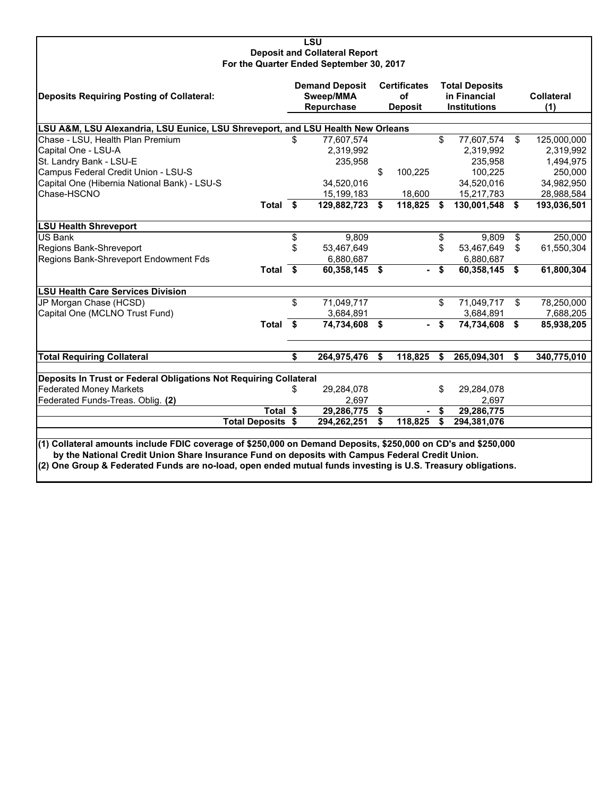#### **LSU Deposit and Collateral Report For the Quarter Ended September 30, 2017**

| Deposits Requiring Posting of Collateral:                                                                                                                                                                                                                                                                                        |    | <b>Demand Deposit</b><br>Sweep/MMA<br>Repurchase |    | <b>Certificates</b><br>of<br><b>Deposit</b> |    | <b>Total Deposits</b><br>in Financial<br><b>Institutions</b> |    | <b>Collateral</b><br>(1) |  |  |
|----------------------------------------------------------------------------------------------------------------------------------------------------------------------------------------------------------------------------------------------------------------------------------------------------------------------------------|----|--------------------------------------------------|----|---------------------------------------------|----|--------------------------------------------------------------|----|--------------------------|--|--|
|                                                                                                                                                                                                                                                                                                                                  |    |                                                  |    |                                             |    |                                                              |    |                          |  |  |
| LSU A&M, LSU Alexandria, LSU Eunice, LSU Shreveport, and LSU Health New Orleans<br>Chase - LSU, Health Plan Premium<br>\$<br>77,607,574<br>\$<br>77,607,574<br>\$<br>125,000,000                                                                                                                                                 |    |                                                  |    |                                             |    |                                                              |    |                          |  |  |
| Capital One - LSU-A                                                                                                                                                                                                                                                                                                              |    | 2,319,992                                        |    |                                             |    | 2,319,992                                                    |    | 2,319,992                |  |  |
| St. Landry Bank - LSU-E                                                                                                                                                                                                                                                                                                          |    | 235,958                                          |    |                                             |    | 235,958                                                      |    | 1,494,975                |  |  |
| Campus Federal Credit Union - LSU-S                                                                                                                                                                                                                                                                                              |    |                                                  | \$ | 100,225                                     |    | 100,225                                                      |    | 250,000                  |  |  |
| Capital One (Hibernia National Bank) - LSU-S                                                                                                                                                                                                                                                                                     |    | 34,520,016                                       |    |                                             |    | 34,520,016                                                   |    | 34,982,950               |  |  |
| Chase-HSCNO                                                                                                                                                                                                                                                                                                                      |    | 15,199,183                                       |    | 18,600                                      |    | 15,217,783                                                   |    | 28,988,584               |  |  |
| Total \$                                                                                                                                                                                                                                                                                                                         |    | 129,882,723                                      | \$ | 118,825                                     | \$ | 130,001,548                                                  | \$ | 193,036,501              |  |  |
| <b>LSU Health Shreveport</b>                                                                                                                                                                                                                                                                                                     |    |                                                  |    |                                             |    |                                                              |    |                          |  |  |
| <b>US Bank</b>                                                                                                                                                                                                                                                                                                                   | \$ | 9,809                                            |    |                                             | \$ | 9,809                                                        | \$ | 250,000                  |  |  |
| Regions Bank-Shreveport                                                                                                                                                                                                                                                                                                          | \$ | 53,467,649                                       |    |                                             | \$ | 53,467,649                                                   | \$ | 61,550,304               |  |  |
| Regions Bank-Shreveport Endowment Fds                                                                                                                                                                                                                                                                                            |    | 6,880,687                                        |    |                                             |    | 6,880,687                                                    |    |                          |  |  |
| Total \$                                                                                                                                                                                                                                                                                                                         |    | 60,358,145 \$                                    |    |                                             | \$ | 60,358,145                                                   | \$ | 61,800,304               |  |  |
| <b>LSU Health Care Services Division</b>                                                                                                                                                                                                                                                                                         |    |                                                  |    |                                             |    |                                                              |    |                          |  |  |
| JP Morgan Chase (HCSD)                                                                                                                                                                                                                                                                                                           | \$ | 71,049,717                                       |    |                                             | \$ | 71,049,717                                                   | \$ | 78,250,000               |  |  |
| Capital One (MCLNO Trust Fund)                                                                                                                                                                                                                                                                                                   |    | 3,684,891                                        |    |                                             |    | 3,684,891                                                    |    | 7,688,205                |  |  |
| Total \$                                                                                                                                                                                                                                                                                                                         |    | 74,734,608                                       | \$ |                                             | \$ | 74,734,608                                                   | \$ | 85,938,205               |  |  |
| <b>Total Requiring Collateral</b>                                                                                                                                                                                                                                                                                                | \$ | 264,975,476                                      | \$ | 118,825                                     | \$ | 265,094,301                                                  | S. | 340,775,010              |  |  |
|                                                                                                                                                                                                                                                                                                                                  |    |                                                  |    |                                             |    |                                                              |    |                          |  |  |
| Deposits In Trust or Federal Obligations Not Requiring Collateral<br><b>Federated Money Markets</b>                                                                                                                                                                                                                              | \$ | 29,284,078                                       |    |                                             | \$ | 29,284,078                                                   |    |                          |  |  |
| Federated Funds-Treas. Oblig. (2)                                                                                                                                                                                                                                                                                                |    | 2,697                                            |    |                                             |    | 2,697                                                        |    |                          |  |  |
| Total \$                                                                                                                                                                                                                                                                                                                         |    | 29,286,775                                       | \$ |                                             | \$ | 29,286,775                                                   |    |                          |  |  |
| <b>Total Deposits \$</b>                                                                                                                                                                                                                                                                                                         |    | 294,262,251                                      | \$ | 118,825                                     | \$ | 294,381,076                                                  |    |                          |  |  |
|                                                                                                                                                                                                                                                                                                                                  |    |                                                  |    |                                             |    |                                                              |    |                          |  |  |
| (1) Collateral amounts include FDIC coverage of \$250,000 on Demand Deposits, \$250,000 on CD's and \$250,000<br>by the National Credit Union Share Insurance Fund on deposits with Campus Federal Credit Union.<br>(2) One Group & Federated Funds are no-load, open ended mutual funds investing is U.S. Treasury obligations. |    |                                                  |    |                                             |    |                                                              |    |                          |  |  |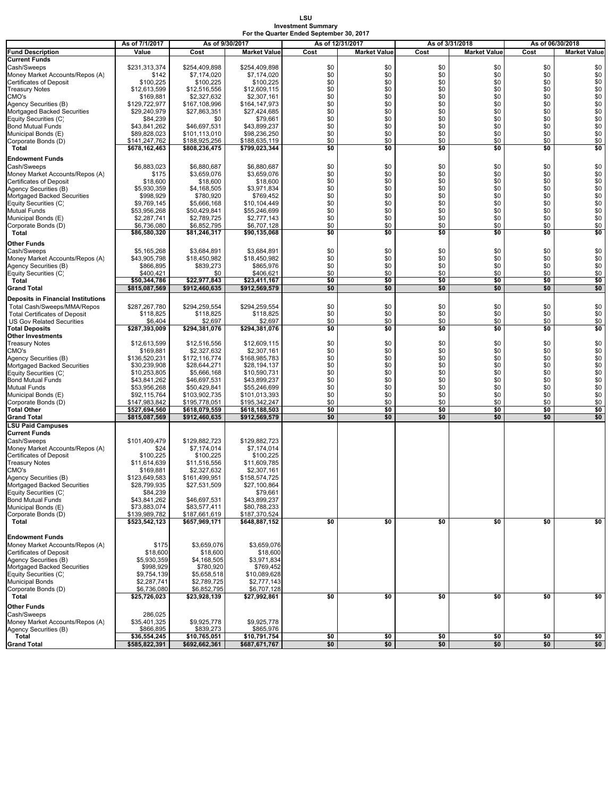#### **LSU Investment Summary For the Quarter Ended September 30, 2017**

|                                                           | As of 7/1/2017                 | As of 9/30/2017                |                                |            | As of 12/31/2017    |            | As of 3/31/2018     | As of 06/30/2018 |                     |
|-----------------------------------------------------------|--------------------------------|--------------------------------|--------------------------------|------------|---------------------|------------|---------------------|------------------|---------------------|
| <b>Fund Description</b>                                   | Value                          | Cost                           | <b>Market Value</b>            | Cost       | <b>Market Value</b> | Cost       | <b>Market Value</b> | Cost             | <b>Market Value</b> |
| <b>Current Funds</b>                                      |                                |                                |                                |            |                     |            |                     |                  |                     |
| Cash/Sweeps                                               | \$231,313,374                  | \$254,409,898                  | \$254,409,898                  | \$0        | \$0                 | \$0        | \$0                 | \$0              | \$0                 |
| Money Market Accounts/Repos (A)                           | \$142                          | \$7,174,020                    | \$7,174,020                    | \$0        | \$0                 | \$0        | \$0                 | \$0              | \$0                 |
| <b>Certificates of Deposit</b>                            | \$100,225                      | \$100,225<br>\$12,516,556      | \$100,225                      | \$0<br>\$0 | \$0<br>\$0          | \$0<br>\$0 | \$0<br>\$0          | \$0<br>\$0       | \$0<br>\$0          |
| <b>Treasury Notes</b><br>CMO's                            | \$12,613,599<br>\$169,881      | \$2,327,632                    | \$12,609,115<br>\$2,307,161    | \$0        | \$0                 | \$0        | \$0                 | \$0              | \$0                 |
| Agency Securities (B)                                     | \$129,722,977                  | \$167.108.996                  | \$164,147,973                  | \$0        | \$0                 | \$0        | \$0                 | \$0              | \$0                 |
| Mortgaged Backed Securities                               | \$29,240,979                   | \$27,863,351                   | \$27,424,685                   | \$0        | \$0                 | \$0        | \$0                 | \$0              | \$0                 |
| Equity Securities (C)                                     | \$84,239                       | \$0                            | \$79,661                       | \$0        | \$0                 | \$0        | \$0                 | \$0              | \$0                 |
| <b>Bond Mutual Funds</b>                                  | \$43,841,262                   | \$46,697,531                   | \$43,899,237                   | \$0        | \$0                 | \$0        | \$0                 | \$0              | \$0                 |
| Municipal Bonds (E)                                       | \$89,828,023                   | \$101,113,010                  | \$98,236,250                   | \$0        | \$0                 | \$0        | \$0                 | \$0              | \$0                 |
| Corporate Bonds (D)<br>Total                              | \$141,247,762<br>\$678,162,463 | \$188,925,256<br>\$808,236,475 | \$188,635,119<br>\$799,023,344 | \$0<br>\$0 | \$0<br>\$0          | \$0<br>\$0 | \$0<br>\$0          | \$0<br>\$0       | \$0<br>\$0          |
|                                                           |                                |                                |                                |            |                     |            |                     |                  |                     |
| <b>Endowment Funds</b>                                    |                                |                                |                                |            |                     |            |                     |                  |                     |
| Cash/Sweeps<br>Money Market Accounts/Repos (A)            | \$6,883,023<br>\$175           | \$6,880,687<br>\$3,659,076     | \$6,880,687<br>\$3,659,076     | \$0<br>\$0 | \$0<br>\$0          | \$0<br>\$0 | \$0<br>\$0          | \$0<br>\$0       | \$0<br>\$0          |
| <b>Certificates of Deposit</b>                            | \$18,600                       | \$18,600                       | \$18,600                       | \$0        | \$0                 | \$0        | \$0                 | \$0              | \$0                 |
| Agency Securities (B)                                     | \$5,930,359                    | \$4,168,505                    | \$3,971,834                    | \$0        | \$0                 | \$0        | \$0                 | \$0              | \$0                 |
| Mortgaged Backed Securities                               | \$998,929                      | \$780,920                      | \$769,452                      | \$0        | \$0                 | \$0        | \$0                 | \$0              | \$0                 |
| Equity Securities (C)                                     | \$9,769,145                    | \$5,666,168                    | \$10,104,449                   | \$0        | \$0                 | \$0        | \$0                 | \$0              | $\$0$               |
| <b>Mutual Funds</b>                                       | \$53,956,268                   | \$50,429,841                   | \$55,246,699                   | \$0        | \$0                 | \$0        | \$0                 | \$0              | \$0                 |
| Municipal Bonds (E)                                       | \$2,287,741                    | \$2,789,725                    | \$2,777,143                    | \$0        | \$0                 | \$0        | \$0                 | \$0              | \$0                 |
| Corporate Bonds (D)<br>Total                              | \$6,736,080<br>\$86,580,320    | \$6,852,795<br>\$81,246,317    | \$6,707,128<br>\$90,135,068    | \$0<br>\$0 | \$0<br>\$0          | \$0<br>\$0 | \$0<br>\$0          | \$0<br>\$0       | \$0<br>\$0          |
|                                                           |                                |                                |                                |            |                     |            |                     |                  |                     |
| Other Funds                                               |                                |                                |                                |            |                     |            |                     |                  |                     |
| Cash/Sweeps<br>Money Market Accounts/Repos (A)            | \$5,165,268<br>\$43,905,798    | \$3,684,891<br>\$18,450,982    | \$3,684,891<br>\$18,450,982    | \$0<br>\$0 | \$0<br>\$0          | \$0<br>\$0 | \$0<br>\$0          | \$0<br>\$0       | \$0<br>\$0          |
| Agency Securities (B)                                     | \$866,895                      | \$839,273                      | \$865,976                      | \$0        | \$0                 | \$0        | \$0                 | \$0              | \$0                 |
| Equity Securities (C)                                     | \$400,421                      | \$0                            | \$406,621                      | \$0        | \$0                 | \$0        | \$0                 | \$0              | \$0                 |
| Total                                                     | \$50,344,786                   | \$22,977,843                   | \$23,411,167                   | \$0        | \$0                 | \$0        | \$0                 | \$0              | \$0                 |
| <b>Grand Total</b>                                        | \$815,087,569                  | \$912,460,635                  | \$912,569,579                  | \$0        | \$0                 | \$0        | \$0                 | \$0              | \$0                 |
| <b>Deposits in Financial Institutions</b>                 |                                |                                |                                |            |                     |            |                     |                  |                     |
| Total Cash/Sweeps/MMA/Repos                               | \$287,267,780                  | \$294,259,554                  | \$294,259,554                  | \$0        | \$0                 | \$0        | \$0                 | \$0              | \$0                 |
| <b>Total Certificates of Deposit</b>                      | \$118,825                      | \$118,825                      | \$118,825                      | \$0        | \$0                 | \$0        | \$0                 | \$0              | \$0                 |
| <b>US Gov Related Securities</b><br><b>Total Deposits</b> | \$6,404<br>\$287,393,009       | \$2,697<br>\$294,381,076       | \$2,697<br>\$294,381,076       | \$0<br>\$0 | \$0<br>\$0          | \$0<br>\$0 | \$0<br>\$0          | \$0<br>\$0       | \$0<br>\$0          |
| <b>Other Investments</b>                                  |                                |                                |                                |            |                     |            |                     |                  |                     |
| <b>Treasury Notes</b>                                     | \$12,613,599                   | \$12,516,556                   | \$12,609,115                   | \$0        | \$0                 | \$0        | \$0                 | \$0              | \$0                 |
| CMO's                                                     | \$169,881                      | \$2,327,632                    | \$2,307,161                    | \$0        | \$0                 | \$0        | \$0                 | \$0              | \$0                 |
| Agency Securities (B)                                     | \$136,520,231                  | \$172,116,774                  | \$168,985,783                  | \$0        | \$0                 | \$0        | \$0                 | \$0              | \$0                 |
| Mortgaged Backed Securities                               | \$30,239,908                   | \$28,644,271                   | \$28,194,137                   | \$0<br>\$0 | \$0<br>\$0          | \$0<br>\$0 | \$0<br>\$0          | \$0<br>\$0       | \$0<br>\$0          |
| Equity Securities (C)<br><b>Bond Mutual Funds</b>         | \$10,253,805<br>\$43,841,262   | \$5,666,168<br>\$46,697,531    | \$10,590,731<br>\$43,899,237   | \$0        | \$0                 | \$0        | \$0                 | \$0              | \$0                 |
| Mutual Funds                                              | \$53,956,268                   | \$50,429,841                   | \$55,246,699                   | \$0        | \$0                 | \$0        | \$0                 | \$0              | \$0                 |
| Municipal Bonds (E)                                       | \$92,115,764                   | \$103,902,735                  | \$101,013,393                  | \$0        | \$0                 | \$0        | \$0                 | \$0              | \$0                 |
| Corporate Bonds (D)                                       | \$147,983,842                  | \$195,778,051                  | \$195,342,247                  | \$0        | \$0                 | \$0        | \$0                 | \$0              | \$0                 |
| <b>Total Other</b>                                        | \$527,694,560                  | \$618,079,559                  | \$618,188,503                  | \$0        | \$0                 | \$0        | \$0                 | \$0              | \$0                 |
| <b>Grand Total</b>                                        | \$815,087,569                  | \$912,460,635                  | \$912,569,579                  | \$0        | \$0                 | \$0        | \$0                 | \$0              | \$0                 |
| <b>LSU Paid Campuses</b><br><b>Current Funds</b>          |                                |                                |                                |            |                     |            |                     |                  |                     |
| Cash/Sweeps                                               | \$101,409,479                  | \$129,882,723                  | \$129,882,723                  |            |                     |            |                     |                  |                     |
| Money Market Accounts/Repos (A)                           | \$24                           | \$7,174,014                    | \$7,174,014                    |            |                     |            |                     |                  |                     |
| <b>Certificates of Deposit</b>                            | \$100,225                      | \$100,225                      | \$100,225                      |            |                     |            |                     |                  |                     |
| <b>Treasury Notes</b>                                     | \$11,614,639                   | \$11,516,556                   | \$11,609,785                   |            |                     |            |                     |                  |                     |
| CMO's                                                     | \$169,881<br>\$123.649.583     | \$2,327,632                    | \$2,307,161                    |            |                     |            |                     |                  |                     |
| Agency Securities (B)<br>Mortgaged Backed Securities      | \$28,799,935                   | \$161,499,951<br>\$27,531,509  | \$158,574,725<br>\$27,100,864  |            |                     |            |                     |                  |                     |
| Equity Securities (C)                                     | \$84,239                       |                                | \$79,661                       |            |                     |            |                     |                  |                     |
| <b>Bond Mutual Funds</b>                                  | \$43,841,262                   | \$46,697,531                   | \$43,899,237                   |            |                     |            |                     |                  |                     |
| Municipal Bonds (E)                                       | \$73,883,074                   | \$83,577,411                   | \$80,788,233                   |            |                     |            |                     |                  |                     |
| Corporate Bonds (D)                                       | \$139,989,782                  | \$187,661,619                  | \$187,370,524                  |            | \$0                 |            |                     |                  |                     |
| Total                                                     | \$523,542,123                  | \$657,969,171                  | \$648,887,152                  | \$0        |                     | \$0        | \$0                 | \$0              | \$0                 |
| <b>Endowment Funds</b>                                    |                                |                                |                                |            |                     |            |                     |                  |                     |
| Money Market Accounts/Repos (A)                           | \$175                          | \$3,659,076                    | \$3,659,076                    |            |                     |            |                     |                  |                     |
| <b>Certificates of Deposit</b>                            | \$18,600                       | \$18,600                       | \$18,600                       |            |                     |            |                     |                  |                     |
| Agency Securities (B)                                     | \$5,930,359                    | \$4,168,505                    | \$3,971,834                    |            |                     |            |                     |                  |                     |
| Mortgaged Backed Securities                               | \$998,929                      | \$780,920                      | \$769,452                      |            |                     |            |                     |                  |                     |
| Equity Securities (C)                                     | \$9,754,139                    | \$5,658,518                    | \$10,089,628                   |            |                     |            |                     |                  |                     |
| <b>Municipal Bonds</b><br>Corporate Bonds (D)             | \$2,287,741<br>\$6,736,080     | \$2,789,725<br>\$6,852,795     | \$2,777,143<br>\$6,707,128     |            |                     |            |                     |                  |                     |
| Total                                                     | \$25,726,023                   | \$23,928,139                   | \$27,992,861                   | \$0        | \$0                 | \$0        | \$0                 | \$0              | \$0                 |
| <b>Other Funds</b>                                        |                                |                                |                                |            |                     |            |                     |                  |                     |
| Cash/Sweeps                                               | 286,025                        |                                |                                |            |                     |            |                     |                  |                     |
| Money Market Accounts/Repos (A)                           | \$35,401,325                   | \$9,925,778                    | \$9,925,778                    |            |                     |            |                     |                  |                     |
| Agency Securities (B)                                     | \$866,895                      | \$839,273                      | \$865,976                      |            |                     |            |                     |                  |                     |
| Total<br><b>Grand Total</b>                               | \$36,554,245<br>\$585,822,391  | \$10,765,051<br>\$692,662,361  | \$10,791,754<br>\$687,671,767  | \$0<br>\$0 | \$0<br>\$0          | \$0<br>\$0 | \$0<br>\$0          | \$0<br>\$0       | \$0<br>\$0          |
|                                                           |                                |                                |                                |            |                     |            |                     |                  |                     |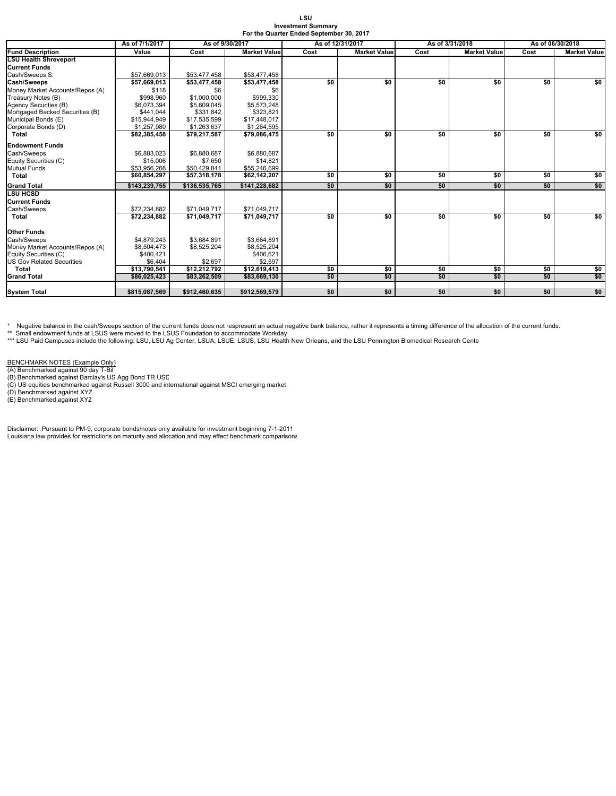| LSU                                      |
|------------------------------------------|
| <b>Investment Summarv</b>                |
| For the Quarter Ended September 30, 2017 |

|                                  | As of 7/1/2017 | As of 9/30/2017<br>As of 12/31/2017 |                     |      |                     | As of 3/31/2018             | As of 06/30/2018 |      |                     |
|----------------------------------|----------------|-------------------------------------|---------------------|------|---------------------|-----------------------------|------------------|------|---------------------|
| <b>Fund Description</b>          | Value          | Cost                                | <b>Market Value</b> | Cost | <b>Market Value</b> | Cost<br><b>Market Value</b> |                  | Cost | <b>Market Value</b> |
| <b>LSU Health Shreveport</b>     |                |                                     |                     |      |                     |                             |                  |      |                     |
| <b>Current Funds</b>             |                |                                     |                     |      |                     |                             |                  |      |                     |
| Cash/Sweeps S.                   | \$57,669,013   | \$53,477,458                        | \$53,477,458        |      |                     |                             |                  |      |                     |
| Cash/Sweeps                      | \$57.669.013   | \$53,477,458                        | \$53,477,458        | \$0  | \$0                 | \$0                         | \$0              | \$0  | \$0                 |
| Money Market Accounts/Repos (A)  | \$118          | \$6                                 | \$6                 |      |                     |                             |                  |      |                     |
| Treasury Notes (B)               | \$998,960      | \$1,000,000                         | \$999,330           |      |                     |                             |                  |      |                     |
| Agency Securities (B)            | \$6.073.394    | \$5,609,045                         | \$5,573,248         |      |                     |                             |                  |      |                     |
| Mortgaged Backed Securities (B)  | \$441,044      | \$331.842                           | \$323.821           |      |                     |                             |                  |      |                     |
| Municipal Bonds (E)              | \$15,944,949   | \$17,535,599                        | \$17,448,017        |      |                     |                             |                  |      |                     |
| Corporate Bonds (D)              | \$1,257,980    | \$1,263,637                         | \$1,264,595         |      |                     |                             |                  |      |                     |
| Total                            | \$82,385,458   | \$79,217,587                        | \$79,086,475        | \$0  | \$0                 | \$0                         | \$0              | \$0  | \$0                 |
| <b>Endowment Funds</b>           |                |                                     |                     |      |                     |                             |                  |      |                     |
| Cash/Sweeps                      | \$6.883.023    | \$6,880,687                         | \$6,880,687         |      |                     |                             |                  |      |                     |
| Equity Securities (C)            | \$15,006       | \$7,650                             | \$14,821            |      |                     |                             |                  |      |                     |
| <b>Mutual Funds</b>              | \$53,956,268   | \$50,429,841                        | \$55,246,699        |      |                     |                             |                  |      |                     |
| Total                            | \$60,854,297   | \$57,318,178                        | \$62,142,207        | \$0  | \$0                 | \$0                         | \$0              | \$0  | \$0                 |
| <b>Grand Total</b>               | \$143.239.755  | \$136,535,765                       | \$141.228.682       | \$0  | \$0                 | \$0                         | \$0              | \$0  | \$0                 |
| <b>LSU HCSD</b>                  |                |                                     |                     |      |                     |                             |                  |      |                     |
| <b>Current Funds</b>             |                |                                     |                     |      |                     |                             |                  |      |                     |
| Cash/Sweeps                      | \$72,234,882   | \$71,049,717                        | \$71.049.717        |      |                     |                             |                  |      |                     |
| <b>Total</b>                     | \$72,234,882   | \$71,049,717                        | \$71,049,717        | \$0  | \$0                 | \$0                         | \$0              | \$0  | \$0                 |
| <b>Other Funds</b>               |                |                                     |                     |      |                     |                             |                  |      |                     |
| Cash/Sweeps                      | \$4,879,243    | \$3,684,891                         | \$3,684,891         |      |                     |                             |                  |      |                     |
| Money Market Accounts/Repos (A)  | \$8,504,473    | \$8,525,204                         | \$8,525,204         |      |                     |                             |                  |      |                     |
| Equity Securities (C)            | \$400,421      |                                     | \$406,621           |      |                     |                             |                  |      |                     |
| <b>US Gov Related Securities</b> | \$6,404        | \$2,697                             | \$2.697             |      |                     |                             |                  |      |                     |
| Total                            | \$13,790,541   | \$12,212,792                        | \$12,619,413        | \$0  | \$0                 | \$0                         | \$0              | \$0  | \$0                 |
| <b>Grand Total</b>               | \$86,025,423   | \$83,262,509                        | \$83,669,130        | \$0  | \$0                 | \$0                         | \$0              | \$0  | \$0                 |
|                                  |                |                                     |                     |      |                     |                             |                  |      |                     |
| <b>System Total</b>              | \$815,087.569  | \$912.460.635                       | \$912.569.579       | \$0  | \$0                 | \$0                         | \$0              | \$0  | \$0                 |

\* Negative balance in the cash/Sweeps section of the current funds does not respresent an actual negative bank balance, rather it represents a timing difference of the allocation of the current funds.<br>\*\* Small endowment fu

BENCHMARK NOTES (Example Only)<br>(A) Benchmarked against 90 day T-Bil<br>(B) Benchmarked against Barclay's US Agg Bond TR USD<br>(C) US equities benchmarked against Russell 3000 and international against MSCI emerging market<br>(D) B

Disclaimer: Pursuant to PM-9, corporate bonds/notes only available for investment beginning 7-1-2011 Louisiana law provides for restrictions on maturity and allocation and may effect benchmark comparisons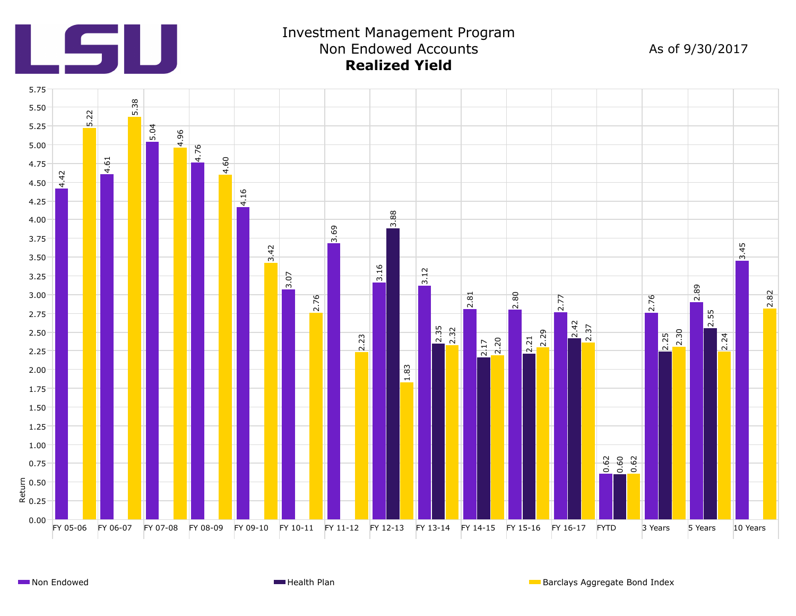

# Investment Management Program Non Endowed Accounts **Realized Yield**

As of 9/30/2017

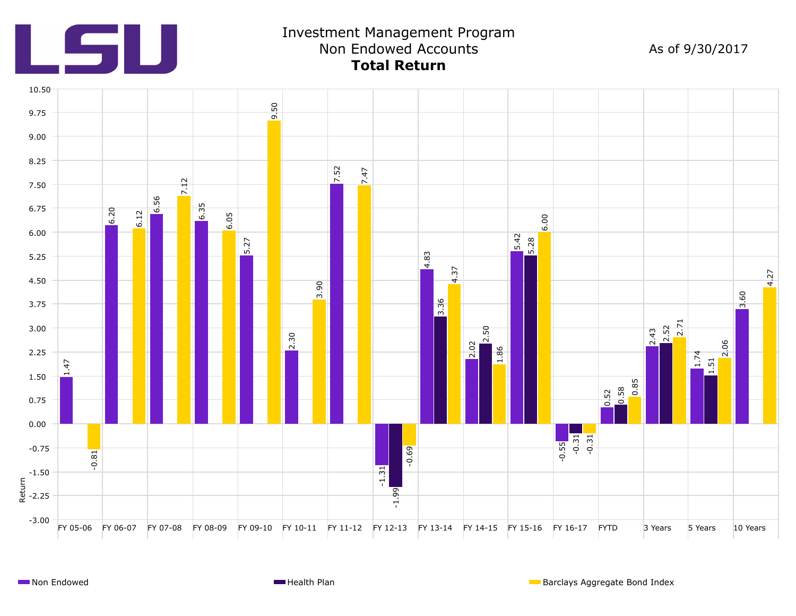

## Investment Management Prog ram Non Endowed Accounts **Total Return**

As of 9/30/2017

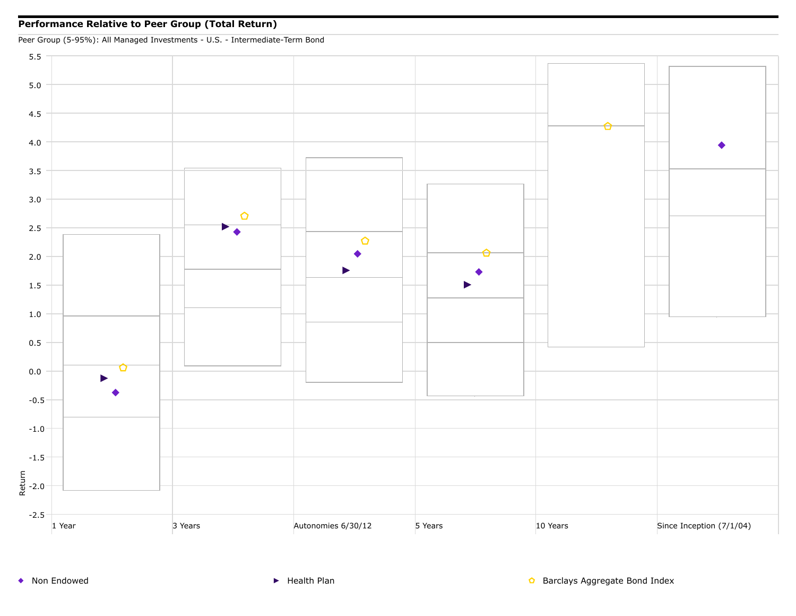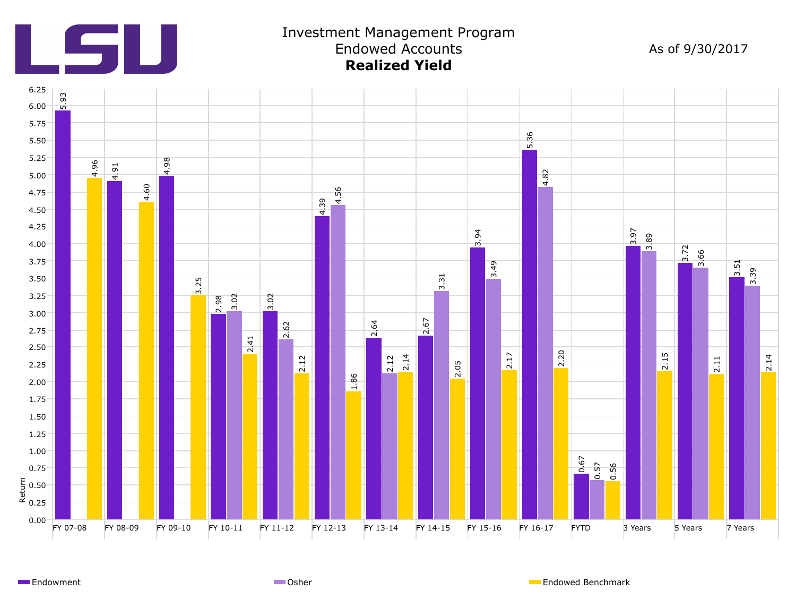